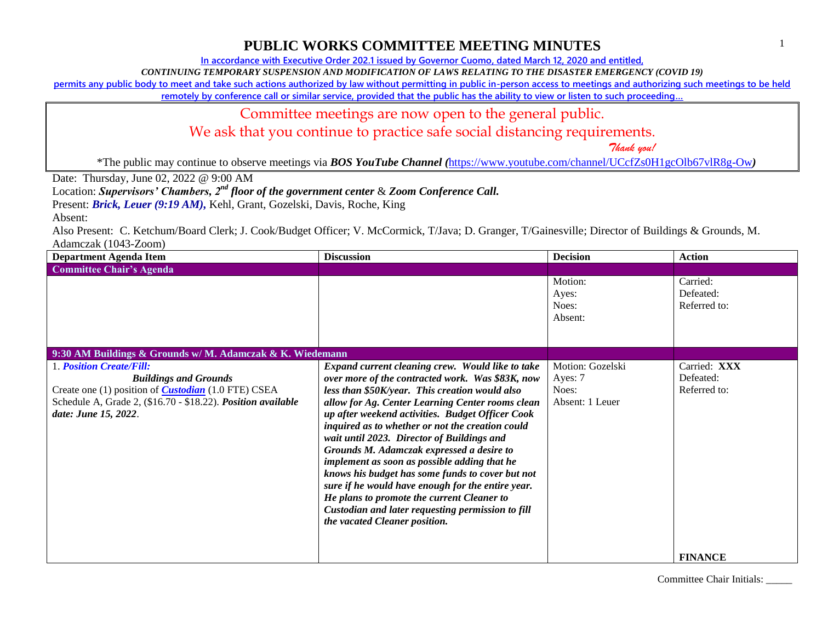**In accordance with Executive Order 202.1 issued by Governor Cuomo, dated March 12, 2020 and entitled,**

*CONTINUING TEMPORARY SUSPENSION AND MODIFICATION OF LAWS RELATING TO THE DISASTER EMERGENCY (COVID 19)*

**permits any public body to meet and take such actions authorized by law without permitting in public in-person access to meetings and authorizing such meetings to be held** 

**remotely by conference call or similar service, provided that the public has the ability to view or listen to such proceeding…**

#### Committee meetings are now open to the general public.

We ask that you continue to practice safe social distancing requirements.

 *Thank you!*

\*The public may continue to observe meetings via *BOS YouTube Channel (*<https://www.youtube.com/channel/UCcfZs0H1gcOlb67vlR8g-Ow>*)*

Date: Thursday, June 02, 2022 @ 9:00 AM

Location: *Supervisors' Chambers, 2nd floor of the government center* & *Zoom Conference Call.*

Present: *Brick, Leuer* (9:19 AM), Kehl, Grant, Gozelski, Davis, Roche, King

Absent:

Also Present: C. Ketchum/Board Clerk; J. Cook/Budget Officer; V. McCormick, T/Java; D. Granger, T/Gainesville; Director of Buildings & Grounds, M. Adamczak (1043-Zoom)

| <b>Department Agenda Item</b>                                                                                                                                                                                         | <b>Discussion</b>                                                                                                                                                                                                                                                                                                                                                                                                                                                                                                                                                                                                                                                                                          | <b>Decision</b>                                         | <b>Action</b>                             |
|-----------------------------------------------------------------------------------------------------------------------------------------------------------------------------------------------------------------------|------------------------------------------------------------------------------------------------------------------------------------------------------------------------------------------------------------------------------------------------------------------------------------------------------------------------------------------------------------------------------------------------------------------------------------------------------------------------------------------------------------------------------------------------------------------------------------------------------------------------------------------------------------------------------------------------------------|---------------------------------------------------------|-------------------------------------------|
| <b>Committee Chair's Agenda</b>                                                                                                                                                                                       |                                                                                                                                                                                                                                                                                                                                                                                                                                                                                                                                                                                                                                                                                                            |                                                         |                                           |
|                                                                                                                                                                                                                       |                                                                                                                                                                                                                                                                                                                                                                                                                                                                                                                                                                                                                                                                                                            | Motion:<br>Ayes:<br>Noes:<br>Absent:                    | Carried:<br>Defeated:<br>Referred to:     |
| 9:30 AM Buildings & Grounds w/ M. Adamczak & K. Wiedemann                                                                                                                                                             |                                                                                                                                                                                                                                                                                                                                                                                                                                                                                                                                                                                                                                                                                                            |                                                         |                                           |
| <b>1. Position Create/Fill:</b><br><b>Buildings and Grounds</b><br>Create one (1) position of <i>Custodian</i> (1.0 FTE) CSEA<br>Schedule A, Grade 2, (\$16.70 - \$18.22). Position available<br>date: June 15, 2022. | Expand current cleaning crew. Would like to take<br>over more of the contracted work. Was \$83K, now<br>less than \$50K/year. This creation would also<br>allow for Ag. Center Learning Center rooms clean<br>up after weekend activities. Budget Officer Cook<br>inquired as to whether or not the creation could<br>wait until 2023. Director of Buildings and<br>Grounds M. Adamczak expressed a desire to<br>implement as soon as possible adding that he<br>knows his budget has some funds to cover but not<br>sure if he would have enough for the entire year.<br>He plans to promote the current Cleaner to<br>Custodian and later requesting permission to fill<br>the vacated Cleaner position. | Motion: Gozelski<br>Ayes: 7<br>Noes:<br>Absent: 1 Leuer | Carried: XXX<br>Defeated:<br>Referred to: |
|                                                                                                                                                                                                                       |                                                                                                                                                                                                                                                                                                                                                                                                                                                                                                                                                                                                                                                                                                            |                                                         | <b>FINANCE</b>                            |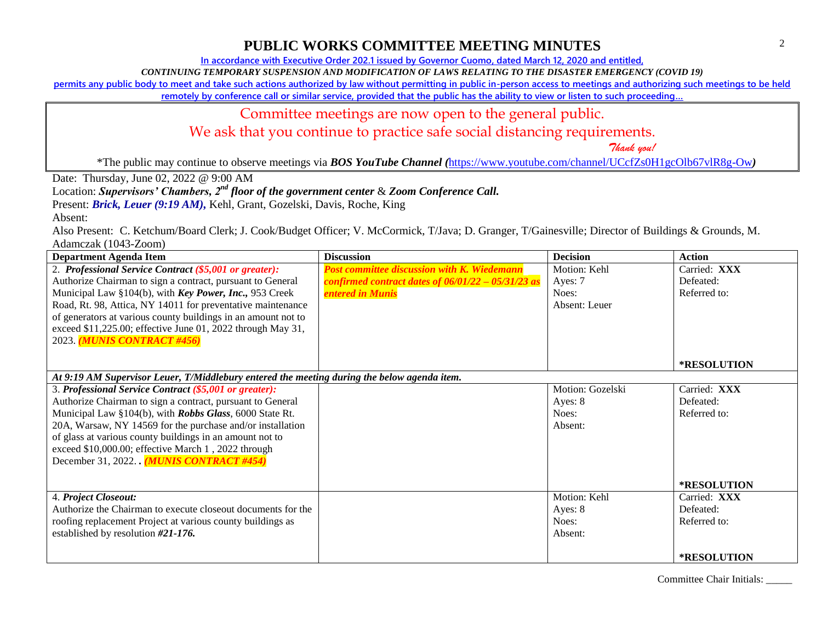**In accordance with Executive Order 202.1 issued by Governor Cuomo, dated March 12, 2020 and entitled,**

*CONTINUING TEMPORARY SUSPENSION AND MODIFICATION OF LAWS RELATING TO THE DISASTER EMERGENCY (COVID 19)*

**permits any public body to meet and take such actions authorized by law without permitting in public in-person access to meetings and authorizing such meetings to be held** 

**remotely by conference call or similar service, provided that the public has the ability to view or listen to such proceeding…**

#### Committee meetings are now open to the general public.

We ask that you continue to practice safe social distancing requirements.

 *Thank you!*

\*The public may continue to observe meetings via *BOS YouTube Channel (*<https://www.youtube.com/channel/UCcfZs0H1gcOlb67vlR8g-Ow>*)*

Date: Thursday, June 02, 2022 @ 9:00 AM

Location: *Supervisors' Chambers, 2nd floor of the government center* & *Zoom Conference Call.*

Present: *Brick, Leuer* (9:19 AM), Kehl, Grant, Gozelski, Davis, Roche, King

Absent:

Also Present: C. Ketchum/Board Clerk; J. Cook/Budget Officer; V. McCormick, T/Java; D. Granger, T/Gainesville; Director of Buildings & Grounds, M. Adamczak (1043-Zoom)

| <b>Department Agenda Item</b>                                                               | <b>Discussion</b>                                    | <b>Decision</b>  | Action             |
|---------------------------------------------------------------------------------------------|------------------------------------------------------|------------------|--------------------|
| 2. Professional Service Contract (\$5,001 or greater):                                      | <b>Post committee discussion with K. Wiedemann</b>   | Motion: Kehl     | Carried: XXX       |
| Authorize Chairman to sign a contract, pursuant to General                                  | confirmed contract dates of $06/01/22 - 05/31/23$ as | Ayes: 7          | Defeated:          |
| Municipal Law §104(b), with Key Power, Inc., 953 Creek                                      | <b>entered in Munis</b>                              | Noes:            | Referred to:       |
| Road, Rt. 98, Attica, NY 14011 for preventative maintenance                                 |                                                      | Absent: Leuer    |                    |
| of generators at various county buildings in an amount not to                               |                                                      |                  |                    |
| exceed \$11,225.00; effective June 01, 2022 through May 31,                                 |                                                      |                  |                    |
| 2023. (MUNIS CONTRACT #456)                                                                 |                                                      |                  |                    |
|                                                                                             |                                                      |                  |                    |
|                                                                                             |                                                      |                  | <b>*RESOLUTION</b> |
| At 9:19 AM Supervisor Leuer, T/Middlebury entered the meeting during the below agenda item. |                                                      |                  |                    |
| 3. Professional Service Contract (\$5,001 or greater):                                      |                                                      | Motion: Gozelski | Carried: XXX       |
| Authorize Chairman to sign a contract, pursuant to General                                  |                                                      | Ayes: 8          | Defeated:          |
| Municipal Law §104(b), with Robbs Glass, 6000 State Rt.                                     |                                                      | Noes:            | Referred to:       |
| 20A, Warsaw, NY 14569 for the purchase and/or installation                                  |                                                      | Absent:          |                    |
| of glass at various county buildings in an amount not to                                    |                                                      |                  |                    |
| exceed \$10,000.00; effective March 1, 2022 through                                         |                                                      |                  |                    |
| December 31, 2022 (MUNIS CONTRACT #454)                                                     |                                                      |                  |                    |
|                                                                                             |                                                      |                  |                    |
|                                                                                             |                                                      |                  | *RESOLUTION        |
| 4. Project Closeout:                                                                        |                                                      | Motion: Kehl     | Carried: XXX       |
| Authorize the Chairman to execute closeout documents for the                                |                                                      | Ayes: 8          | Defeated:          |
| roofing replacement Project at various county buildings as                                  |                                                      | Noes:            | Referred to:       |
| established by resolution #21-176.                                                          |                                                      | Absent:          |                    |
|                                                                                             |                                                      |                  |                    |
|                                                                                             |                                                      |                  | <b>*RESOLUTION</b> |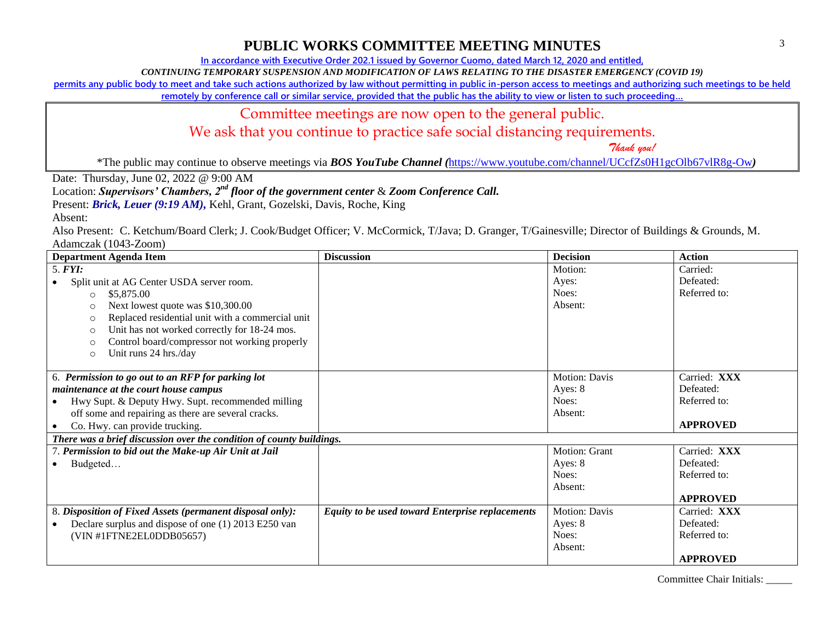**In accordance with Executive Order 202.1 issued by Governor Cuomo, dated March 12, 2020 and entitled,**

*CONTINUING TEMPORARY SUSPENSION AND MODIFICATION OF LAWS RELATING TO THE DISASTER EMERGENCY (COVID 19)*

**permits any public body to meet and take such actions authorized by law without permitting in public in-person access to meetings and authorizing such meetings to be held** 

**remotely by conference call or similar service, provided that the public has the ability to view or listen to such proceeding…**

#### Committee meetings are now open to the general public.

We ask that you continue to practice safe social distancing requirements.

 *Thank you!*

\*The public may continue to observe meetings via *BOS YouTube Channel (*<https://www.youtube.com/channel/UCcfZs0H1gcOlb67vlR8g-Ow>*)*

Date: Thursday, June 02, 2022 @ 9:00 AM

Location: *Supervisors' Chambers, 2nd floor of the government center* & *Zoom Conference Call.*

Present: *Brick, Leuer (9:19 AM), Kehl, Grant, Gozelski, Davis, Roche, King* 

Absent:

Also Present: C. Ketchum/Board Clerk; J. Cook/Budget Officer; V. McCormick, T/Java; D. Granger, T/Gainesville; Director of Buildings & Grounds, M. Adamczak (1043-Zoom)

| <b>Department Agenda Item</b>                                        | <b>Discussion</b>                                       | <b>Decision</b> | <b>Action</b>   |
|----------------------------------------------------------------------|---------------------------------------------------------|-----------------|-----------------|
| 5. <i>FYI</i> :                                                      |                                                         | Motion:         | Carried:        |
| Split unit at AG Center USDA server room.                            |                                                         | Ayes:           | Defeated:       |
| \$5,875.00<br>$\Omega$                                               |                                                         | Noes:           | Referred to:    |
| Next lowest quote was \$10,300.00<br>$\cap$                          |                                                         | Absent:         |                 |
| Replaced residential unit with a commercial unit<br>C                |                                                         |                 |                 |
| Unit has not worked correctly for 18-24 mos.<br>C                    |                                                         |                 |                 |
| Control board/compressor not working properly<br>C                   |                                                         |                 |                 |
| Unit runs 24 hrs./day<br>$\circ$                                     |                                                         |                 |                 |
|                                                                      |                                                         |                 |                 |
| 6. Permission to go out to an RFP for parking lot                    |                                                         | Motion: Davis   | Carried: XXX    |
| maintenance at the court house campus                                |                                                         | Ayes: 8         | Defeated:       |
| Hwy Supt. & Deputy Hwy. Supt. recommended milling                    |                                                         | Noes:           | Referred to:    |
| off some and repairing as there are several cracks.                  |                                                         | Absent:         |                 |
| Co. Hwy. can provide trucking.                                       |                                                         |                 | <b>APPROVED</b> |
| There was a brief discussion over the condition of county buildings. |                                                         |                 |                 |
| 7. Permission to bid out the Make-up Air Unit at Jail                |                                                         | Motion: Grant   | Carried: XXX    |
| Budgeted<br>$\bullet$                                                |                                                         | Ayes: 8         | Defeated:       |
|                                                                      |                                                         | Noes:           | Referred to:    |
|                                                                      |                                                         | Absent:         |                 |
|                                                                      |                                                         |                 | <b>APPROVED</b> |
| 8. Disposition of Fixed Assets (permanent disposal only):            | <b>Equity to be used toward Enterprise replacements</b> | Motion: Davis   | Carried: XXX    |
| Declare surplus and dispose of one (1) 2013 E250 van                 |                                                         | Ayes: 8         | Defeated:       |
| (VIN #1FTNE2EL0DDB05657)                                             |                                                         | Noes:           | Referred to:    |
|                                                                      |                                                         | Absent:         |                 |
|                                                                      |                                                         |                 | <b>APPROVED</b> |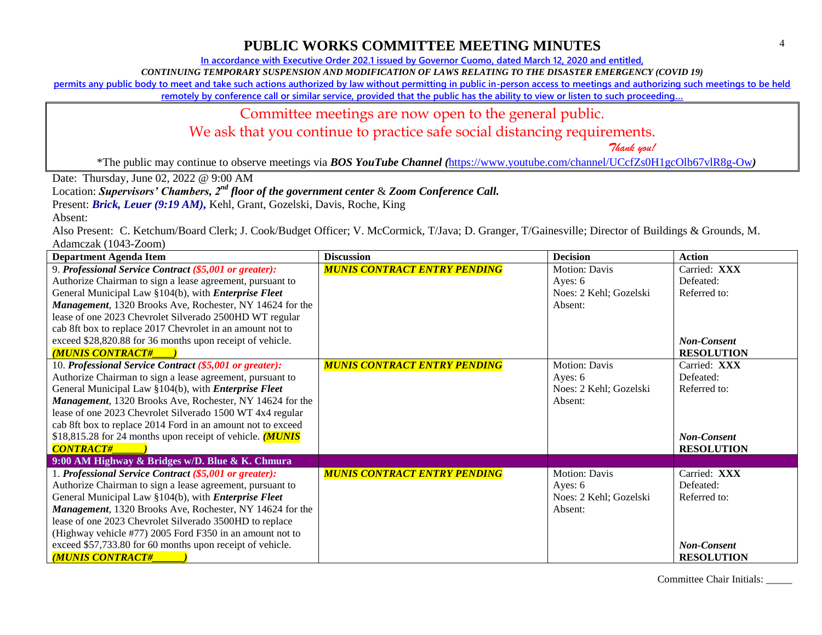**In accordance with Executive Order 202.1 issued by Governor Cuomo, dated March 12, 2020 and entitled,**

*CONTINUING TEMPORARY SUSPENSION AND MODIFICATION OF LAWS RELATING TO THE DISASTER EMERGENCY (COVID 19)*

**permits any public body to meet and take such actions authorized by law without permitting in public in-person access to meetings and authorizing such meetings to be held** 

**remotely by conference call or similar service, provided that the public has the ability to view or listen to such proceeding…**

#### Committee meetings are now open to the general public.

We ask that you continue to practice safe social distancing requirements.

 *Thank you!*

\*The public may continue to observe meetings via *BOS YouTube Channel (*<https://www.youtube.com/channel/UCcfZs0H1gcOlb67vlR8g-Ow>*)*

Date: Thursday, June 02, 2022 @ 9:00 AM

Location: *Supervisors' Chambers, 2nd floor of the government center* & *Zoom Conference Call.*

Present: *Brick, Leuer* (9:19 AM), Kehl, Grant, Gozelski, Davis, Roche, King

Absent:

Also Present: C. Ketchum/Board Clerk; J. Cook/Budget Officer; V. McCormick, T/Java; D. Granger, T/Gainesville; Director of Buildings & Grounds, M. Adamczak (1043-Zoom)

| <b>Department Agenda Item</b>                                | <b>Discussion</b>                   | <b>Decision</b>        | <b>Action</b>      |
|--------------------------------------------------------------|-------------------------------------|------------------------|--------------------|
| 9. Professional Service Contract (\$5,001 or greater):       | <b>MUNIS CONTRACT ENTRY PENDING</b> | <b>Motion: Davis</b>   | Carried: XXX       |
| Authorize Chairman to sign a lease agreement, pursuant to    |                                     | Ayes: $6$              | Defeated:          |
| General Municipal Law §104(b), with <i>Enterprise Fleet</i>  |                                     | Noes: 2 Kehl; Gozelski | Referred to:       |
| Management, 1320 Brooks Ave, Rochester, NY 14624 for the     |                                     | Absent:                |                    |
| lease of one 2023 Chevrolet Silverado 2500HD WT regular      |                                     |                        |                    |
| cab 8ft box to replace 2017 Chevrolet in an amount not to    |                                     |                        |                    |
| exceed \$28,820.88 for 36 months upon receipt of vehicle.    |                                     |                        | <b>Non-Consent</b> |
| <b>MUNIS CONTRACT#</b>                                       |                                     |                        | <b>RESOLUTION</b>  |
| 10. Professional Service Contract (\$5,001 or greater):      | <b>MUNIS CONTRACT ENTRY PENDING</b> | Motion: Davis          | Carried: XXX       |
| Authorize Chairman to sign a lease agreement, pursuant to    |                                     | Ayes: $6$              | Defeated:          |
| General Municipal Law §104(b), with <i>Enterprise Fleet</i>  |                                     | Noes: 2 Kehl; Gozelski | Referred to:       |
| Management, 1320 Brooks Ave, Rochester, NY 14624 for the     |                                     | Absent:                |                    |
| lease of one 2023 Chevrolet Silverado 1500 WT 4x4 regular    |                                     |                        |                    |
| cab 8ft box to replace 2014 Ford in an amount not to exceed  |                                     |                        |                    |
| \$18,815.28 for 24 months upon receipt of vehicle. $(MUNIS)$ |                                     |                        | <b>Non-Consent</b> |
| <b>CONTRACT#</b>                                             |                                     |                        | <b>RESOLUTION</b>  |
| 9:00 AM Highway & Bridges w/D. Blue & K. Chmura              |                                     |                        |                    |
| 1. Professional Service Contract (\$5,001 or greater):       | <b>MUNIS CONTRACT ENTRY PENDING</b> | Motion: Davis          | Carried: XXX       |
| Authorize Chairman to sign a lease agreement, pursuant to    |                                     | Ayes: 6                | Defeated:          |
| General Municipal Law §104(b), with <i>Enterprise Fleet</i>  |                                     | Noes: 2 Kehl; Gozelski | Referred to:       |
| Management, 1320 Brooks Ave, Rochester, NY 14624 for the     |                                     | Absent:                |                    |
| lease of one 2023 Chevrolet Silverado 3500HD to replace      |                                     |                        |                    |
| (Highway vehicle #77) 2005 Ford F350 in an amount not to     |                                     |                        |                    |
| exceed \$57,733.80 for 60 months upon receipt of vehicle.    |                                     |                        | <b>Non-Consent</b> |
| <b>MUNIS CONTRACT#</b>                                       |                                     |                        | <b>RESOLUTION</b>  |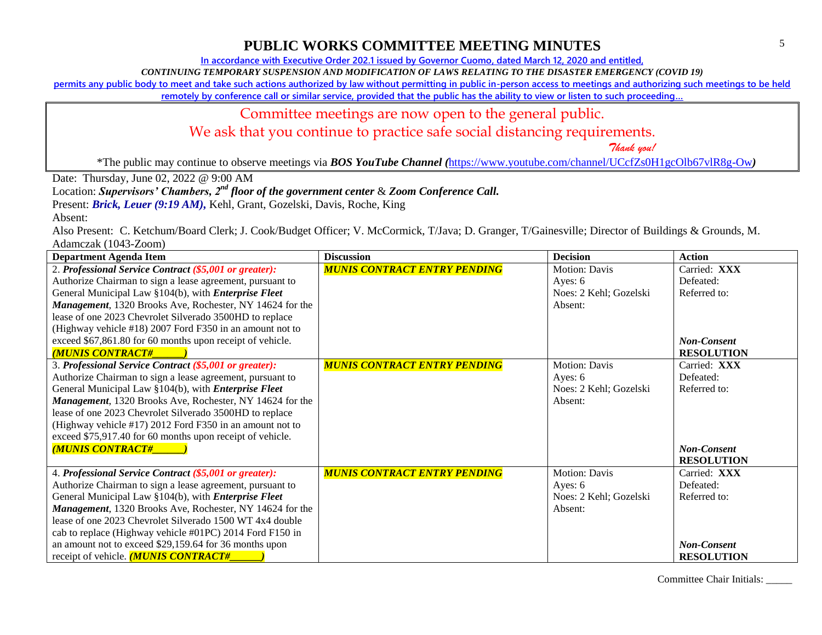**In accordance with Executive Order 202.1 issued by Governor Cuomo, dated March 12, 2020 and entitled,**

*CONTINUING TEMPORARY SUSPENSION AND MODIFICATION OF LAWS RELATING TO THE DISASTER EMERGENCY (COVID 19)*

**permits any public body to meet and take such actions authorized by law without permitting in public in-person access to meetings and authorizing such meetings to be held** 

**remotely by conference call or similar service, provided that the public has the ability to view or listen to such proceeding…**

#### Committee meetings are now open to the general public.

We ask that you continue to practice safe social distancing requirements.

 *Thank you!*

\*The public may continue to observe meetings via *BOS YouTube Channel (*<https://www.youtube.com/channel/UCcfZs0H1gcOlb67vlR8g-Ow>*)*

Date: Thursday, June 02, 2022 @ 9:00 AM

Location: *Supervisors' Chambers, 2nd floor of the government center* & *Zoom Conference Call.*

Present: *Brick, Leuer* (9:19 AM), Kehl, Grant, Gozelski, Davis, Roche, King

Absent:

Also Present: C. Ketchum/Board Clerk; J. Cook/Budget Officer; V. McCormick, T/Java; D. Granger, T/Gainesville; Director of Buildings & Grounds, M. Adamczak (1043-Zoom)

| <b>Department Agenda Item</b>                               | <b>Discussion</b>                   | <b>Decision</b>        | <b>Action</b>      |
|-------------------------------------------------------------|-------------------------------------|------------------------|--------------------|
| 2. Professional Service Contract (\$5,001 or greater):      | <b>MUNIS CONTRACT ENTRY PENDING</b> | Motion: Davis          | Carried: XXX       |
| Authorize Chairman to sign a lease agreement, pursuant to   |                                     | Ayes: $6$              | Defeated:          |
| General Municipal Law §104(b), with <i>Enterprise Fleet</i> |                                     | Noes: 2 Kehl; Gozelski | Referred to:       |
| Management, 1320 Brooks Ave, Rochester, NY 14624 for the    |                                     | Absent:                |                    |
| lease of one 2023 Chevrolet Silverado 3500HD to replace     |                                     |                        |                    |
| (Highway vehicle #18) 2007 Ford F350 in an amount not to    |                                     |                        |                    |
| exceed \$67,861.80 for 60 months upon receipt of vehicle.   |                                     |                        | <b>Non-Consent</b> |
| <b>MUNIS CONTRACT#</b>                                      |                                     |                        | <b>RESOLUTION</b>  |
| 3. Professional Service Contract (\$5,001 or greater):      | <b>MUNIS CONTRACT ENTRY PENDING</b> | Motion: Davis          | Carried: XXX       |
| Authorize Chairman to sign a lease agreement, pursuant to   |                                     | Ayes: $6$              | Defeated:          |
| General Municipal Law §104(b), with <i>Enterprise Fleet</i> |                                     | Noes: 2 Kehl; Gozelski | Referred to:       |
| Management, 1320 Brooks Ave, Rochester, NY 14624 for the    |                                     | Absent:                |                    |
| lease of one 2023 Chevrolet Silverado 3500HD to replace     |                                     |                        |                    |
| (Highway vehicle #17) 2012 Ford F350 in an amount not to    |                                     |                        |                    |
| exceed \$75,917.40 for 60 months upon receipt of vehicle.   |                                     |                        |                    |
| <b>MUNIS CONTRACT#</b>                                      |                                     |                        | Non-Consent        |
|                                                             |                                     |                        | <b>RESOLUTION</b>  |
| 4. Professional Service Contract (\$5,001 or greater):      | <b>MUNIS CONTRACT ENTRY PENDING</b> | Motion: Davis          | Carried: XXX       |
| Authorize Chairman to sign a lease agreement, pursuant to   |                                     | Ayes: 6                | Defeated:          |
| General Municipal Law §104(b), with <i>Enterprise Fleet</i> |                                     | Noes: 2 Kehl; Gozelski | Referred to:       |
| Management, 1320 Brooks Ave, Rochester, NY 14624 for the    |                                     | Absent:                |                    |
| lease of one 2023 Chevrolet Silverado 1500 WT 4x4 double    |                                     |                        |                    |
| cab to replace (Highway vehicle #01PC) 2014 Ford F150 in    |                                     |                        |                    |
| an amount not to exceed \$29,159.64 for 36 months upon      |                                     |                        | <b>Non-Consent</b> |
| receipt of vehicle. <i>(MUNIS CONTRACT#</i>                 |                                     |                        | <b>RESOLUTION</b>  |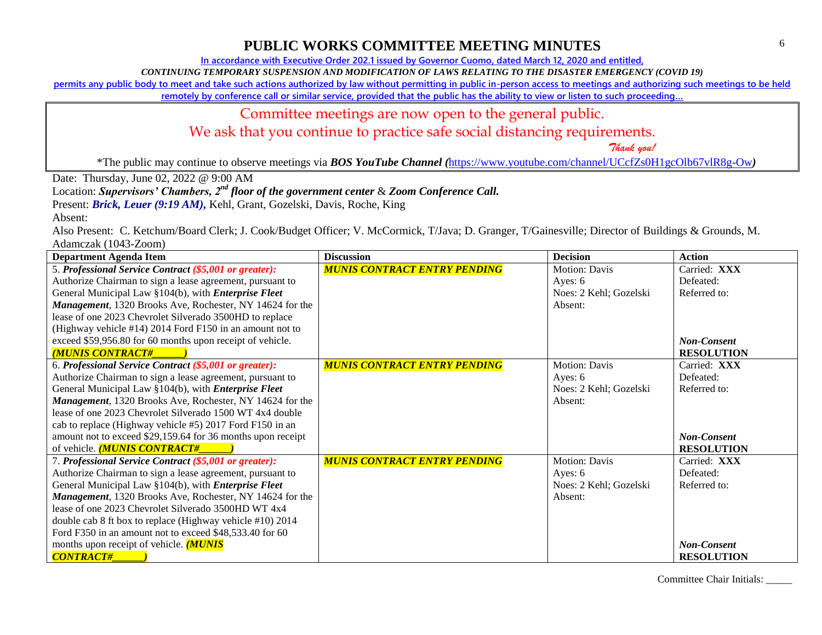**In accordance with Executive Order 202.1 issued by Governor Cuomo, dated March 12, 2020 and entitled,**

*CONTINUING TEMPORARY SUSPENSION AND MODIFICATION OF LAWS RELATING TO THE DISASTER EMERGENCY (COVID 19)*

**permits any public body to meet and take such actions authorized by law without permitting in public in-person access to meetings and authorizing such meetings to be held** 

**remotely by conference call or similar service, provided that the public has the ability to view or listen to such proceeding…**

#### Committee meetings are now open to the general public.

We ask that you continue to practice safe social distancing requirements.

 *Thank you!*

\*The public may continue to observe meetings via *BOS YouTube Channel (*<https://www.youtube.com/channel/UCcfZs0H1gcOlb67vlR8g-Ow>*)*

Date: Thursday, June 02, 2022 @ 9:00 AM

Location: *Supervisors' Chambers, 2nd floor of the government center* & *Zoom Conference Call.*

Present: *Brick, Leuer* (9:19 AM), Kehl, Grant, Gozelski, Davis, Roche, King

Absent:

Also Present: C. Ketchum/Board Clerk; J. Cook/Budget Officer; V. McCormick, T/Java; D. Granger, T/Gainesville; Director of Buildings & Grounds, M. Adamczak (1043-Zoom)

| <b>Department Agenda Item</b>                                    | <b>Discussion</b>                   | <b>Decision</b>        | <b>Action</b>      |
|------------------------------------------------------------------|-------------------------------------|------------------------|--------------------|
| 5. Professional Service Contract (\$5,001 or greater):           | <b>MUNIS CONTRACT ENTRY PENDING</b> | <b>Motion: Davis</b>   | Carried: XXX       |
| Authorize Chairman to sign a lease agreement, pursuant to        |                                     | Ayes: 6                | Defeated:          |
| General Municipal Law §104(b), with <i>Enterprise Fleet</i>      |                                     | Noes: 2 Kehl; Gozelski | Referred to:       |
| Management, 1320 Brooks Ave, Rochester, NY 14624 for the         |                                     | Absent:                |                    |
| lease of one 2023 Chevrolet Silverado 3500HD to replace          |                                     |                        |                    |
| (Highway vehicle #14) 2014 Ford F150 in an amount not to         |                                     |                        |                    |
| exceed \$59,956.80 for 60 months upon receipt of vehicle.        |                                     |                        | Non-Consent        |
| <b>MUNIS CONTRACT#</b>                                           |                                     |                        | <b>RESOLUTION</b>  |
| 6. Professional Service Contract (\$5,001 or greater):           | <b>MUNIS CONTRACT ENTRY PENDING</b> | <b>Motion: Davis</b>   | Carried: XXX       |
| Authorize Chairman to sign a lease agreement, pursuant to        |                                     | Ayes: $6$              | Defeated:          |
| General Municipal Law §104(b), with <i>Enterprise Fleet</i>      |                                     | Noes: 2 Kehl; Gozelski | Referred to:       |
| <b>Management</b> , 1320 Brooks Ave, Rochester, NY 14624 for the |                                     | Absent:                |                    |
| lease of one 2023 Chevrolet Silverado 1500 WT 4x4 double         |                                     |                        |                    |
| cab to replace (Highway vehicle #5) 2017 Ford F150 in an         |                                     |                        |                    |
| amount not to exceed \$29,159.64 for 36 months upon receipt      |                                     |                        | <b>Non-Consent</b> |
| of vehicle. (MUNIS CONTRACT#                                     |                                     |                        | <b>RESOLUTION</b>  |
| 7. Professional Service Contract (\$5,001 or greater):           | <b>MUNIS CONTRACT ENTRY PENDING</b> | Motion: Davis          | Carried: XXX       |
| Authorize Chairman to sign a lease agreement, pursuant to        |                                     | Ayes: 6                | Defeated:          |
| General Municipal Law §104(b), with <i>Enterprise Fleet</i>      |                                     | Noes: 2 Kehl; Gozelski | Referred to:       |
| Management, 1320 Brooks Ave, Rochester, NY 14624 for the         |                                     | Absent:                |                    |
| lease of one 2023 Chevrolet Silverado 3500HD WT 4x4              |                                     |                        |                    |
| double cab 8 ft box to replace (Highway vehicle #10) 2014        |                                     |                        |                    |
| Ford F350 in an amount not to exceed \$48,533.40 for 60          |                                     |                        |                    |
| months upon receipt of vehicle. ( <b>MUNIS</b>                   |                                     |                        | <b>Non-Consent</b> |
| <b>CONTRACT#</b>                                                 |                                     |                        | <b>RESOLUTION</b>  |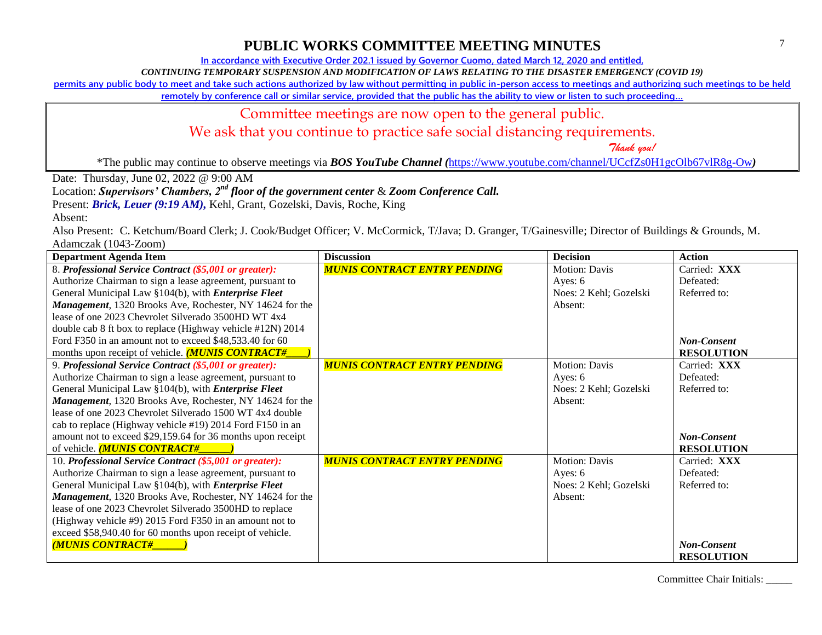**In accordance with Executive Order 202.1 issued by Governor Cuomo, dated March 12, 2020 and entitled,**

*CONTINUING TEMPORARY SUSPENSION AND MODIFICATION OF LAWS RELATING TO THE DISASTER EMERGENCY (COVID 19)*

**permits any public body to meet and take such actions authorized by law without permitting in public in-person access to meetings and authorizing such meetings to be held** 

**remotely by conference call or similar service, provided that the public has the ability to view or listen to such proceeding…**

#### Committee meetings are now open to the general public.

We ask that you continue to practice safe social distancing requirements.

 *Thank you!*

\*The public may continue to observe meetings via *BOS YouTube Channel (*<https://www.youtube.com/channel/UCcfZs0H1gcOlb67vlR8g-Ow>*)*

Date: Thursday, June 02, 2022 @ 9:00 AM

Location: *Supervisors' Chambers, 2nd floor of the government center* & *Zoom Conference Call.*

Present: *Brick, Leuer* (9:19 AM), Kehl, Grant, Gozelski, Davis, Roche, King

Absent:

Also Present: C. Ketchum/Board Clerk; J. Cook/Budget Officer; V. McCormick, T/Java; D. Granger, T/Gainesville; Director of Buildings & Grounds, M. Adamczak (1043-Zoom)

| <b>Department Agenda Item</b>                               | <b>Discussion</b>                   | <b>Decision</b>        | <b>Action</b>      |
|-------------------------------------------------------------|-------------------------------------|------------------------|--------------------|
| 8. Professional Service Contract (\$5,001 or greater):      | <b>MUNIS CONTRACT ENTRY PENDING</b> | <b>Motion: Davis</b>   | Carried: XXX       |
| Authorize Chairman to sign a lease agreement, pursuant to   |                                     | Ayes: 6                | Defeated:          |
| General Municipal Law §104(b), with <i>Enterprise Fleet</i> |                                     | Noes: 2 Kehl; Gozelski | Referred to:       |
| Management, 1320 Brooks Ave, Rochester, NY 14624 for the    |                                     | Absent:                |                    |
| lease of one 2023 Chevrolet Silverado 3500HD WT 4x4         |                                     |                        |                    |
| double cab 8 ft box to replace (Highway vehicle #12N) 2014  |                                     |                        |                    |
| Ford F350 in an amount not to exceed \$48,533.40 for 60     |                                     |                        | <b>Non-Consent</b> |
| months upon receipt of vehicle. <b>(MUNIS CONTRACT#</b>     |                                     |                        | <b>RESOLUTION</b>  |
| 9. Professional Service Contract (\$5,001 or greater):      | <b>MUNIS CONTRACT ENTRY PENDING</b> | <b>Motion: Davis</b>   | Carried: XXX       |
| Authorize Chairman to sign a lease agreement, pursuant to   |                                     | Ayes: $6$              | Defeated:          |
| General Municipal Law §104(b), with <i>Enterprise Fleet</i> |                                     | Noes: 2 Kehl; Gozelski | Referred to:       |
| Management, 1320 Brooks Ave, Rochester, NY 14624 for the    |                                     | Absent:                |                    |
| lease of one 2023 Chevrolet Silverado 1500 WT 4x4 double    |                                     |                        |                    |
| cab to replace (Highway vehicle #19) 2014 Ford F150 in an   |                                     |                        |                    |
| amount not to exceed \$29,159.64 for 36 months upon receipt |                                     |                        | <b>Non-Consent</b> |
| of vehicle. <b>MUNIS CONTRACT#</b>                          |                                     |                        | <b>RESOLUTION</b>  |
| 10. Professional Service Contract (\$5,001 or greater):     | <b>MUNIS CONTRACT ENTRY PENDING</b> | <b>Motion: Davis</b>   | Carried: XXX       |
| Authorize Chairman to sign a lease agreement, pursuant to   |                                     | Ayes: $6$              | Defeated:          |
| General Municipal Law §104(b), with <i>Enterprise Fleet</i> |                                     | Noes: 2 Kehl; Gozelski | Referred to:       |
| Management, 1320 Brooks Ave, Rochester, NY 14624 for the    |                                     | Absent:                |                    |
| lease of one 2023 Chevrolet Silverado 3500HD to replace     |                                     |                        |                    |
| (Highway vehicle #9) 2015 Ford F350 in an amount not to     |                                     |                        |                    |
| exceed \$58,940.40 for 60 months upon receipt of vehicle.   |                                     |                        |                    |
| <b>MUNIS CONTRACT#</b>                                      |                                     |                        | <b>Non-Consent</b> |
|                                                             |                                     |                        | <b>RESOLUTION</b>  |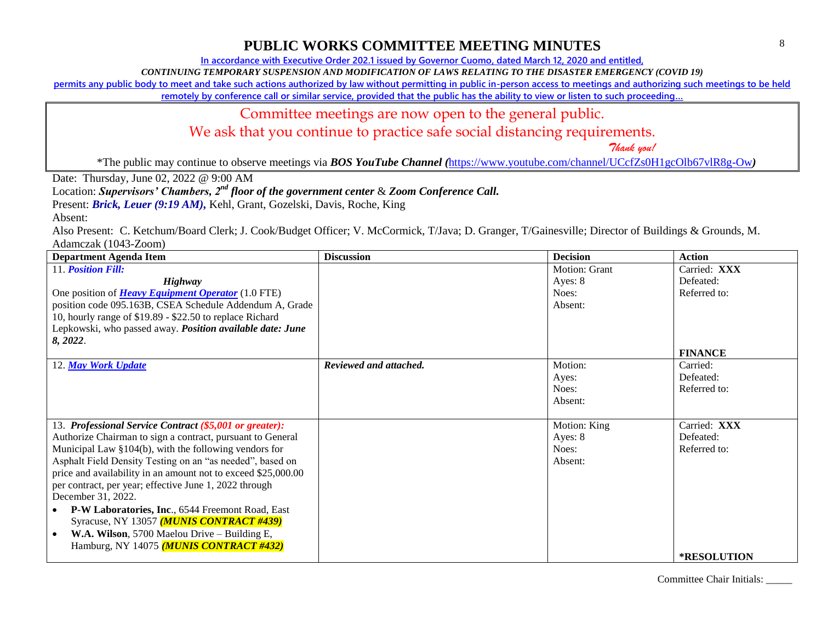**In accordance with Executive Order 202.1 issued by Governor Cuomo, dated March 12, 2020 and entitled,**

*CONTINUING TEMPORARY SUSPENSION AND MODIFICATION OF LAWS RELATING TO THE DISASTER EMERGENCY (COVID 19)*

**permits any public body to meet and take such actions authorized by law without permitting in public in-person access to meetings and authorizing such meetings to be held** 

**remotely by conference call or similar service, provided that the public has the ability to view or listen to such proceeding…**

#### Committee meetings are now open to the general public.

We ask that you continue to practice safe social distancing requirements.

 *Thank you!*

\*The public may continue to observe meetings via *BOS YouTube Channel (*<https://www.youtube.com/channel/UCcfZs0H1gcOlb67vlR8g-Ow>*)*

Date: Thursday, June 02, 2022 @ 9:00 AM

Location: *Supervisors' Chambers, 2nd floor of the government center* & *Zoom Conference Call.*

Present: *Brick, Leuer* (9:19 AM), Kehl, Grant, Gozelski, Davis, Roche, King

Absent:

Also Present: C. Ketchum/Board Clerk; J. Cook/Budget Officer; V. McCormick, T/Java; D. Granger, T/Gainesville; Director of Buildings & Grounds, M. Adamczak (1043-Zoom)

| <b>Department Agenda Item</b>                                 | <b>Discussion</b>      | <b>Decision</b>      | <b>Action</b>      |
|---------------------------------------------------------------|------------------------|----------------------|--------------------|
| 11. <b>Position Fill:</b>                                     |                        | <b>Motion: Grant</b> | Carried: XXX       |
| Highway                                                       |                        | Ayes: 8              | Defeated:          |
| One position of <b>Heavy Equipment Operator</b> (1.0 FTE)     |                        | Noes:                | Referred to:       |
| position code 095.163B, CSEA Schedule Addendum A, Grade       |                        | Absent:              |                    |
| 10, hourly range of \$19.89 - \$22.50 to replace Richard      |                        |                      |                    |
| Lepkowski, who passed away. Position available date: June     |                        |                      |                    |
| 8, 2022.                                                      |                        |                      |                    |
|                                                               |                        |                      | <b>FINANCE</b>     |
| 12. May Work Update                                           | Reviewed and attached. | Motion:              | Carried:           |
|                                                               |                        | Ayes:                | Defeated:          |
|                                                               |                        | Noes:                | Referred to:       |
|                                                               |                        | Absent:              |                    |
|                                                               |                        |                      |                    |
| 13. Professional Service Contract (\$5,001 or greater):       |                        | Motion: King         | Carried: XXX       |
| Authorize Chairman to sign a contract, pursuant to General    |                        | Ayes: 8              | Defeated:          |
| Municipal Law §104(b), with the following vendors for         |                        | Noes:                | Referred to:       |
| Asphalt Field Density Testing on an "as needed", based on     |                        | Absent:              |                    |
| price and availability in an amount not to exceed \$25,000.00 |                        |                      |                    |
| per contract, per year; effective June 1, 2022 through        |                        |                      |                    |
| December 31, 2022.                                            |                        |                      |                    |
| P-W Laboratories, Inc., 6544 Freemont Road, East              |                        |                      |                    |
| Syracuse, NY 13057 (MUNIS CONTRACT #439)                      |                        |                      |                    |
| W.A. Wilson, 5700 Maelou Drive - Building E,                  |                        |                      |                    |
| Hamburg, NY 14075 (MUNIS CONTRACT #432)                       |                        |                      |                    |
|                                                               |                        |                      | <b>*RESOLUTION</b> |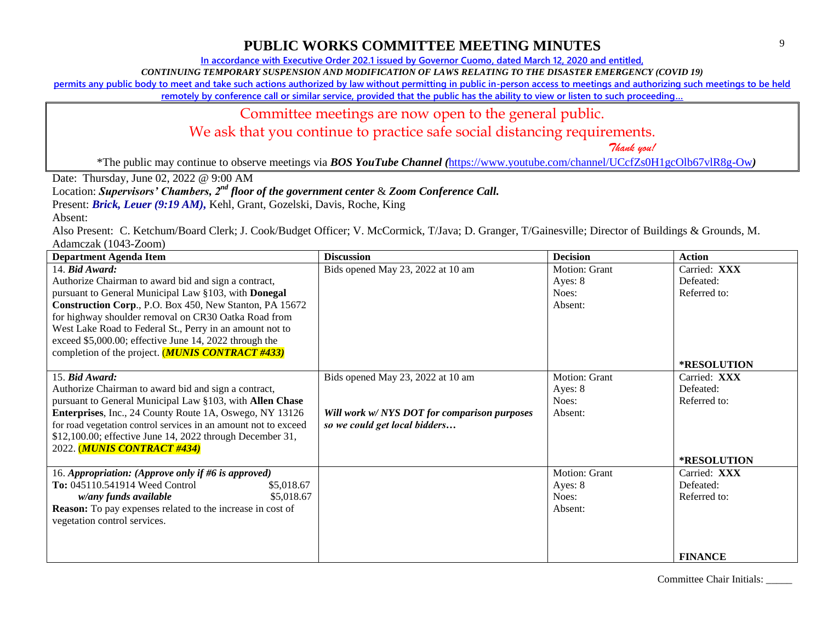**In accordance with Executive Order 202.1 issued by Governor Cuomo, dated March 12, 2020 and entitled,**

*CONTINUING TEMPORARY SUSPENSION AND MODIFICATION OF LAWS RELATING TO THE DISASTER EMERGENCY (COVID 19)*

**permits any public body to meet and take such actions authorized by law without permitting in public in-person access to meetings and authorizing such meetings to be held** 

**remotely by conference call or similar service, provided that the public has the ability to view or listen to such proceeding…**

#### Committee meetings are now open to the general public.

We ask that you continue to practice safe social distancing requirements.

 *Thank you!*

\*The public may continue to observe meetings via *BOS YouTube Channel (*<https://www.youtube.com/channel/UCcfZs0H1gcOlb67vlR8g-Ow>*)*

Date: Thursday, June 02, 2022 @ 9:00 AM

Location: *Supervisors' Chambers, 2nd floor of the government center* & *Zoom Conference Call.*

Present: *Brick, Leuer* (9:19 AM), Kehl, Grant, Gozelski, Davis, Roche, King

Absent:

Also Present: C. Ketchum/Board Clerk; J. Cook/Budget Officer; V. McCormick, T/Java; D. Granger, T/Gainesville; Director of Buildings & Grounds, M. Adamczak (1043-Zoom)

| <b>Department Agenda Item</b>                                     | <b>Discussion</b>                            | <b>Decision</b> | <b>Action</b>      |
|-------------------------------------------------------------------|----------------------------------------------|-----------------|--------------------|
| 14. Bid Award:                                                    | Bids opened May 23, 2022 at 10 am            | Motion: Grant   | Carried: XXX       |
| Authorize Chairman to award bid and sign a contract,              |                                              | Ayes: 8         | Defeated:          |
| pursuant to General Municipal Law §103, with Donegal              |                                              | Noes:           | Referred to:       |
| Construction Corp., P.O. Box 450, New Stanton, PA 15672           |                                              | Absent:         |                    |
| for highway shoulder removal on CR30 Oatka Road from              |                                              |                 |                    |
| West Lake Road to Federal St., Perry in an amount not to          |                                              |                 |                    |
| exceed \$5,000.00; effective June 14, 2022 through the            |                                              |                 |                    |
| completion of the project. ( <b>MUNIS CONTRACT #433</b> )         |                                              |                 |                    |
|                                                                   |                                              |                 | <b>*RESOLUTION</b> |
| 15. Bid Award:                                                    | Bids opened May 23, 2022 at 10 am            | Motion: Grant   | Carried: XXX       |
| Authorize Chairman to award bid and sign a contract,              |                                              | Ayes: 8         | Defeated:          |
| pursuant to General Municipal Law §103, with Allen Chase          |                                              | Noes:           | Referred to:       |
| Enterprises, Inc., 24 County Route 1A, Oswego, NY 13126           | Will work w/ NYS DOT for comparison purposes | Absent:         |                    |
| for road vegetation control services in an amount not to exceed   | so we could get local bidders                |                 |                    |
| \$12,100.00; effective June 14, 2022 through December 31,         |                                              |                 |                    |
| 2022. (MUNIS CONTRACT #434)                                       |                                              |                 |                    |
|                                                                   |                                              |                 | *RESOLUTION        |
| 16. Appropriation: (Approve only if #6 is approved)               |                                              | Motion: Grant   | Carried: XXX       |
| To: 045110.541914 Weed Control<br>\$5,018.67                      |                                              | Ayes: 8         | Defeated:          |
| \$5,018.67<br>w/any funds available                               |                                              | Noes:           | Referred to:       |
| <b>Reason:</b> To pay expenses related to the increase in cost of |                                              | Absent:         |                    |
| vegetation control services.                                      |                                              |                 |                    |
|                                                                   |                                              |                 |                    |
|                                                                   |                                              |                 |                    |
|                                                                   |                                              |                 | <b>FINANCE</b>     |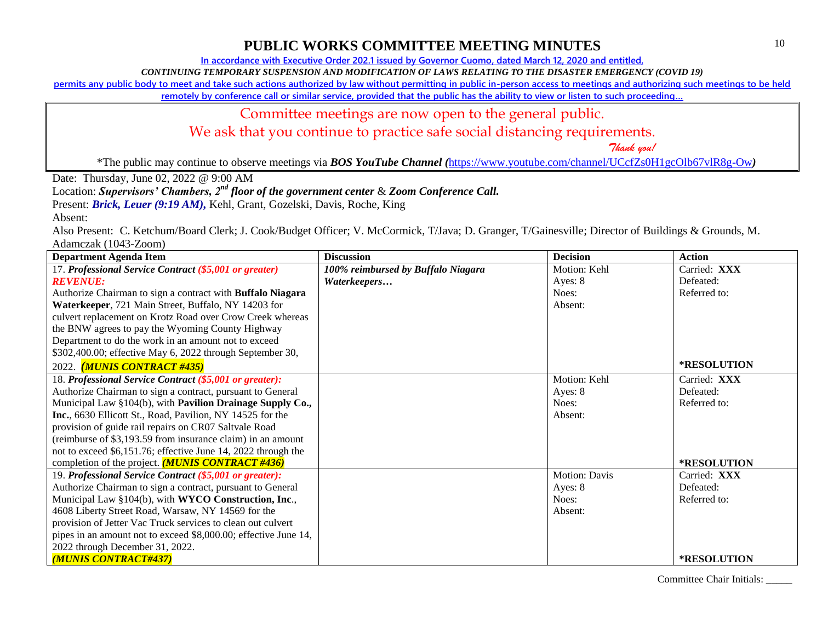**In accordance with Executive Order 202.1 issued by Governor Cuomo, dated March 12, 2020 and entitled,**

*CONTINUING TEMPORARY SUSPENSION AND MODIFICATION OF LAWS RELATING TO THE DISASTER EMERGENCY (COVID 19)*

**permits any public body to meet and take such actions authorized by law without permitting in public in-person access to meetings and authorizing such meetings to be held** 

**remotely by conference call or similar service, provided that the public has the ability to view or listen to such proceeding…**

#### Committee meetings are now open to the general public.

We ask that you continue to practice safe social distancing requirements.

 *Thank you!*

\*The public may continue to observe meetings via *BOS YouTube Channel (*<https://www.youtube.com/channel/UCcfZs0H1gcOlb67vlR8g-Ow>*)*

Date: Thursday, June 02, 2022 @ 9:00 AM

Location: *Supervisors' Chambers, 2nd floor of the government center* & *Zoom Conference Call.*

Present: *Brick, Leuer* (9:19 AM), Kehl, Grant, Gozelski, Davis, Roche, King

Absent:

Also Present: C. Ketchum/Board Clerk; J. Cook/Budget Officer; V. McCormick, T/Java; D. Granger, T/Gainesville; Director of Buildings & Grounds, M. Adamczak (1043-Zoom)

| <b>Department Agenda Item</b>                                     | <b>Discussion</b>                  | <b>Decision</b> | <b>Action</b>      |
|-------------------------------------------------------------------|------------------------------------|-----------------|--------------------|
| 17. Professional Service Contract (\$5,001 or greater)            | 100% reimbursed by Buffalo Niagara | Motion: Kehl    | Carried: XXX       |
| <i><b>REVENUE:</b></i>                                            | Waterkeepers                       | Ayes: $8$       | Defeated:          |
| Authorize Chairman to sign a contract with <b>Buffalo Niagara</b> |                                    | Noes:           | Referred to:       |
| Waterkeeper, 721 Main Street, Buffalo, NY 14203 for               |                                    | Absent:         |                    |
| culvert replacement on Krotz Road over Crow Creek whereas         |                                    |                 |                    |
| the BNW agrees to pay the Wyoming County Highway                  |                                    |                 |                    |
| Department to do the work in an amount not to exceed              |                                    |                 |                    |
| \$302,400.00; effective May 6, 2022 through September 30,         |                                    |                 |                    |
| 2022. (MUNIS CONTRACT #435)                                       |                                    |                 | <b>*RESOLUTION</b> |
| 18. Professional Service Contract (\$5,001 or greater):           |                                    | Motion: Kehl    | Carried: XXX       |
| Authorize Chairman to sign a contract, pursuant to General        |                                    | Ayes: 8         | Defeated:          |
| Municipal Law §104(b), with Pavilion Drainage Supply Co.,         |                                    | Noes:           | Referred to:       |
| Inc., 6630 Ellicott St., Road, Pavilion, NY 14525 for the         |                                    | Absent:         |                    |
| provision of guide rail repairs on CR07 Saltvale Road             |                                    |                 |                    |
| (reimburse of \$3,193.59 from insurance claim) in an amount       |                                    |                 |                    |
| not to exceed \$6,151.76; effective June 14, 2022 through the     |                                    |                 |                    |
| completion of the project. $(MUNIS$ CONTRACT #436)                |                                    |                 | *RESOLUTION        |
| 19. Professional Service Contract (\$5,001 or greater):           |                                    | Motion: Davis   | Carried: XXX       |
| Authorize Chairman to sign a contract, pursuant to General        |                                    | Ayes: 8         | Defeated:          |
| Municipal Law §104(b), with WYCO Construction, Inc.,              |                                    | Noes:           | Referred to:       |
| 4608 Liberty Street Road, Warsaw, NY 14569 for the                |                                    | Absent:         |                    |
| provision of Jetter Vac Truck services to clean out culvert       |                                    |                 |                    |
| pipes in an amount not to exceed \$8,000.00; effective June 14,   |                                    |                 |                    |
| 2022 through December 31, 2022.                                   |                                    |                 |                    |
| (MUNIS CONTRACT#437)                                              |                                    |                 | <b>*RESOLUTION</b> |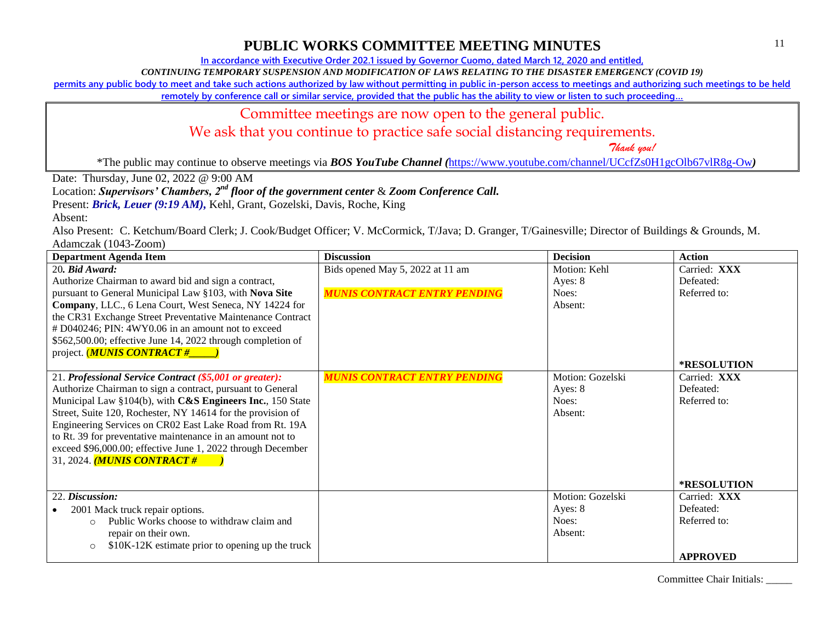**In accordance with Executive Order 202.1 issued by Governor Cuomo, dated March 12, 2020 and entitled,**

*CONTINUING TEMPORARY SUSPENSION AND MODIFICATION OF LAWS RELATING TO THE DISASTER EMERGENCY (COVID 19)*

**permits any public body to meet and take such actions authorized by law without permitting in public in-person access to meetings and authorizing such meetings to be held** 

**remotely by conference call or similar service, provided that the public has the ability to view or listen to such proceeding…**

#### Committee meetings are now open to the general public.

We ask that you continue to practice safe social distancing requirements.

 *Thank you!*

\*The public may continue to observe meetings via *BOS YouTube Channel (*<https://www.youtube.com/channel/UCcfZs0H1gcOlb67vlR8g-Ow>*)*

Date: Thursday, June 02, 2022 @ 9:00 AM

Location: *Supervisors' Chambers, 2nd floor of the government center* & *Zoom Conference Call.*

Present: *Brick, Leuer* (9:19 AM), Kehl, Grant, Gozelski, Davis, Roche, King

Absent:

Also Present: C. Ketchum/Board Clerk; J. Cook/Budget Officer; V. McCormick, T/Java; D. Granger, T/Gainesville; Director of Buildings & Grounds, M. Adamczak (1043-Zoom)

| <b>Department Agenda Item</b>                               | <b>Discussion</b>                   | <b>Decision</b>  | <b>Action</b>   |
|-------------------------------------------------------------|-------------------------------------|------------------|-----------------|
| 20. Bid Award:                                              | Bids opened May 5, 2022 at 11 am    | Motion: Kehl     | Carried: XXX    |
| Authorize Chairman to award bid and sign a contract,        |                                     | Ayes: 8          | Defeated:       |
| pursuant to General Municipal Law §103, with Nova Site      | <b>MUNIS CONTRACT ENTRY PENDING</b> | Noes:            | Referred to:    |
| Company, LLC., 6 Lena Court, West Seneca, NY 14224 for      |                                     | Absent:          |                 |
| the CR31 Exchange Street Preventative Maintenance Contract  |                                     |                  |                 |
| # D040246; PIN: 4WY0.06 in an amount not to exceed          |                                     |                  |                 |
| \$562,500.00; effective June 14, 2022 through completion of |                                     |                  |                 |
| project. ( <i>MUNIS CONTRACT</i> #_____)                    |                                     |                  |                 |
|                                                             |                                     |                  | *RESOLUTION     |
| 21. Professional Service Contract (\$5,001 or greater):     | <b>MUNIS CONTRACT ENTRY PENDING</b> | Motion: Gozelski | Carried: XXX    |
| Authorize Chairman to sign a contract, pursuant to General  |                                     | Ayes: 8          | Defeated:       |
| Municipal Law §104(b), with C&S Engineers Inc., 150 State   |                                     | Noes:            | Referred to:    |
| Street, Suite 120, Rochester, NY 14614 for the provision of |                                     | Absent:          |                 |
| Engineering Services on CR02 East Lake Road from Rt. 19A    |                                     |                  |                 |
| to Rt. 39 for preventative maintenance in an amount not to  |                                     |                  |                 |
| exceed \$96,000.00; effective June 1, 2022 through December |                                     |                  |                 |
| 31, 2024. <i>(MUNIS CONTRACT #</i>                          |                                     |                  |                 |
|                                                             |                                     |                  |                 |
|                                                             |                                     |                  | *RESOLUTION     |
| 22. Discussion:                                             |                                     | Motion: Gozelski | Carried: XXX    |
| 2001 Mack truck repair options.                             |                                     | Ayes: 8          | Defeated:       |
| Public Works choose to withdraw claim and<br>$\Omega$       |                                     | Noes:            | Referred to:    |
| repair on their own.                                        |                                     | Absent:          |                 |
| \$10K-12K estimate prior to opening up the truck<br>$\circ$ |                                     |                  |                 |
|                                                             |                                     |                  | <b>APPROVED</b> |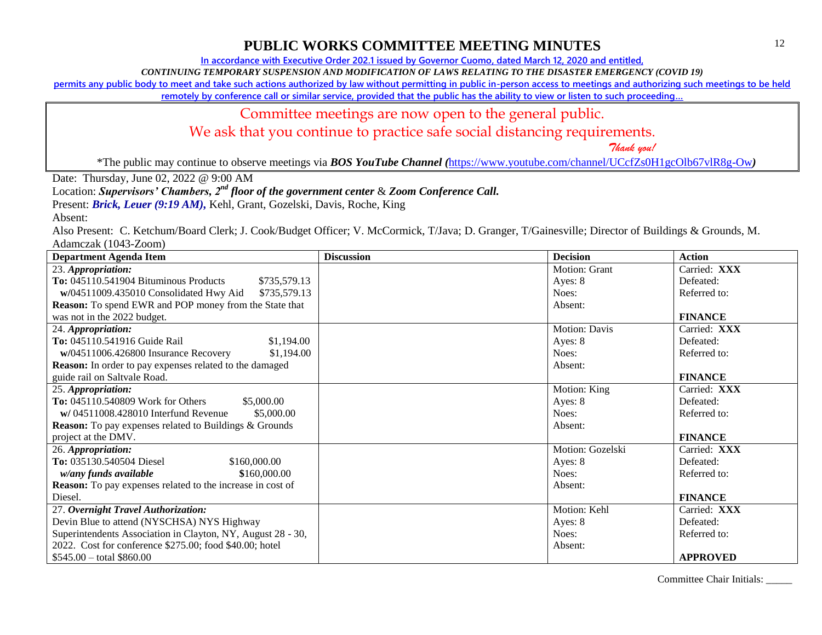**In accordance with Executive Order 202.1 issued by Governor Cuomo, dated March 12, 2020 and entitled,**

*CONTINUING TEMPORARY SUSPENSION AND MODIFICATION OF LAWS RELATING TO THE DISASTER EMERGENCY (COVID 19)*

**permits any public body to meet and take such actions authorized by law without permitting in public in-person access to meetings and authorizing such meetings to be held** 

**remotely by conference call or similar service, provided that the public has the ability to view or listen to such proceeding…**

#### Committee meetings are now open to the general public.

We ask that you continue to practice safe social distancing requirements.

 *Thank you!*

\*The public may continue to observe meetings via *BOS YouTube Channel (*<https://www.youtube.com/channel/UCcfZs0H1gcOlb67vlR8g-Ow>*)*

Date: Thursday, June 02, 2022 @ 9:00 AM

Location: *Supervisors' Chambers, 2nd floor of the government center* & *Zoom Conference Call.*

Present: *Brick, Leuer (9:19 AM), Kehl, Grant, Gozelski, Davis, Roche, King* 

Absent:

Also Present: C. Ketchum/Board Clerk; J. Cook/Budget Officer; V. McCormick, T/Java; D. Granger, T/Gainesville; Director of Buildings & Grounds, M. Adamczak (1043-Zoom)

| <b>Department Agenda Item</b>                                 | <b>Discussion</b> | <b>Decision</b>  | <b>Action</b>   |
|---------------------------------------------------------------|-------------------|------------------|-----------------|
| 23. Appropriation:                                            |                   | Motion: Grant    | Carried: XXX    |
| To: 045110.541904 Bituminous Products<br>\$735,579.13         |                   | Ayes: 8          | Defeated:       |
| w/04511009.435010 Consolidated Hwy Aid<br>\$735,579.13        |                   | Noes:            | Referred to:    |
| <b>Reason:</b> To spend EWR and POP money from the State that |                   | Absent:          |                 |
| was not in the 2022 budget.                                   |                   |                  | <b>FINANCE</b>  |
| 24. Appropriation:                                            |                   | Motion: Davis    | Carried: XXX    |
| To: 045110.541916 Guide Rail<br>\$1,194.00                    |                   | Ayes: 8          | Defeated:       |
| \$1,194.00<br>w/04511006.426800 Insurance Recovery            |                   | Noes:            | Referred to:    |
| Reason: In order to pay expenses related to the damaged       |                   | Absent:          |                 |
| guide rail on Saltvale Road.                                  |                   |                  | <b>FINANCE</b>  |
| 25. Appropriation:                                            |                   | Motion: King     | Carried: XXX    |
| To: 045110.540809 Work for Others<br>\$5,000.00               |                   | Ayes: 8          | Defeated:       |
| $w/04511008.428010$ Interfund Revenue<br>\$5,000.00           |                   | Noes:            | Referred to:    |
| Reason: To pay expenses related to Buildings & Grounds        |                   | Absent:          |                 |
| project at the DMV.                                           |                   |                  | <b>FINANCE</b>  |
| 26. Appropriation:                                            |                   | Motion: Gozelski | Carried: XXX    |
| To: 035130.540504 Diesel<br>\$160,000.00                      |                   | Ayes: 8          | Defeated:       |
| w/any funds available<br>\$160,000.00                         |                   | Noes:            | Referred to:    |
| Reason: To pay expenses related to the increase in cost of    |                   | Absent:          |                 |
| Diesel.                                                       |                   |                  | <b>FINANCE</b>  |
| 27. Overnight Travel Authorization:                           |                   | Motion: Kehl     | Carried: XXX    |
| Devin Blue to attend (NYSCHSA) NYS Highway                    |                   | Ayes: 8          | Defeated:       |
| Superintendents Association in Clayton, NY, August 28 - 30,   |                   | Noes:            | Referred to:    |
| 2022. Cost for conference \$275.00; food \$40.00; hotel       |                   | Absent:          |                 |
| $$545.00 - total $860.00$                                     |                   |                  | <b>APPROVED</b> |